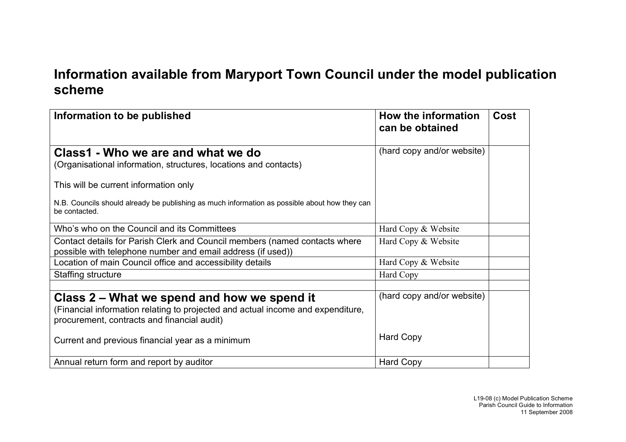## **Information available from Maryport Town Council under the model publication scheme**

| Information to be published                                                                                                                                                   | How the information<br>can be obtained | <b>Cost</b> |
|-------------------------------------------------------------------------------------------------------------------------------------------------------------------------------|----------------------------------------|-------------|
| Class1 - Who we are and what we do<br>(Organisational information, structures, locations and contacts)                                                                        | (hard copy and/or website)             |             |
| This will be current information only                                                                                                                                         |                                        |             |
| N.B. Councils should already be publishing as much information as possible about how they can<br>be contacted.                                                                |                                        |             |
| Who's who on the Council and its Committees                                                                                                                                   | Hard Copy & Website                    |             |
| Contact details for Parish Clerk and Council members (named contacts where<br>possible with telephone number and email address (if used))                                     | Hard Copy & Website                    |             |
| Location of main Council office and accessibility details                                                                                                                     | Hard Copy & Website                    |             |
| Staffing structure                                                                                                                                                            | Hard Copy                              |             |
|                                                                                                                                                                               |                                        |             |
| Class 2 – What we spend and how we spend it<br>(Financial information relating to projected and actual income and expenditure,<br>procurement, contracts and financial audit) | (hard copy and/or website)             |             |
| Current and previous financial year as a minimum                                                                                                                              | <b>Hard Copy</b>                       |             |
| Annual return form and report by auditor                                                                                                                                      | <b>Hard Copy</b>                       |             |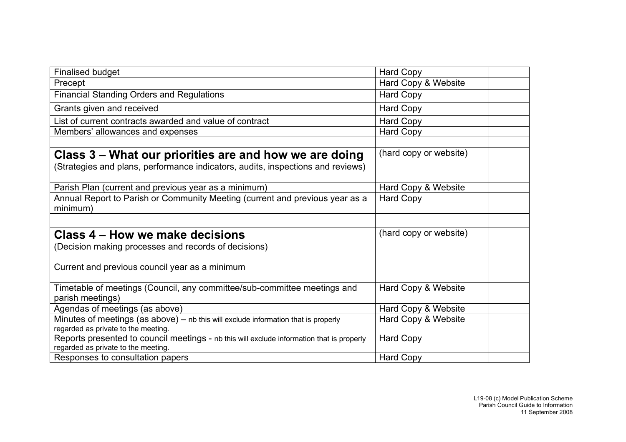| <b>Finalised budget</b>                                                                                                          | <b>Hard Copy</b>       |
|----------------------------------------------------------------------------------------------------------------------------------|------------------------|
| Precept                                                                                                                          | Hard Copy & Website    |
| <b>Financial Standing Orders and Regulations</b>                                                                                 | <b>Hard Copy</b>       |
| Grants given and received                                                                                                        | <b>Hard Copy</b>       |
| List of current contracts awarded and value of contract                                                                          | <b>Hard Copy</b>       |
| Members' allowances and expenses                                                                                                 | <b>Hard Copy</b>       |
|                                                                                                                                  |                        |
| Class 3 – What our priorities are and how we are doing                                                                           | (hard copy or website) |
| (Strategies and plans, performance indicators, audits, inspections and reviews)                                                  |                        |
|                                                                                                                                  |                        |
| Parish Plan (current and previous year as a minimum)                                                                             | Hard Copy & Website    |
| Annual Report to Parish or Community Meeting (current and previous year as a                                                     | <b>Hard Copy</b>       |
| minimum)                                                                                                                         |                        |
|                                                                                                                                  |                        |
| Class 4 – How we make decisions                                                                                                  | (hard copy or website) |
| (Decision making processes and records of decisions)                                                                             |                        |
|                                                                                                                                  |                        |
| Current and previous council year as a minimum                                                                                   |                        |
|                                                                                                                                  |                        |
| Timetable of meetings (Council, any committee/sub-committee meetings and                                                         | Hard Copy & Website    |
| parish meetings)                                                                                                                 |                        |
| Agendas of meetings (as above)                                                                                                   | Hard Copy & Website    |
| Minutes of meetings (as above) - nb this will exclude information that is properly                                               | Hard Copy & Website    |
| regarded as private to the meeting.                                                                                              |                        |
| Reports presented to council meetings - nb this will exclude information that is properly<br>regarded as private to the meeting. | <b>Hard Copy</b>       |
| Responses to consultation papers                                                                                                 | <b>Hard Copy</b>       |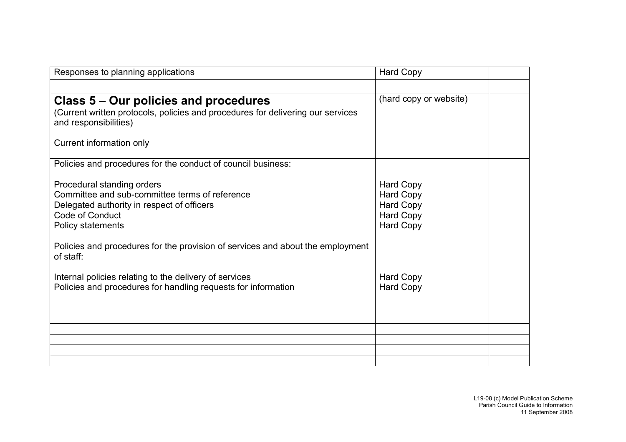| Responses to planning applications                                                                       | <b>Hard Copy</b>                     |  |
|----------------------------------------------------------------------------------------------------------|--------------------------------------|--|
|                                                                                                          |                                      |  |
| Class 5 – Our policies and procedures                                                                    | (hard copy or website)               |  |
| (Current written protocols, policies and procedures for delivering our services<br>and responsibilities) |                                      |  |
| Current information only                                                                                 |                                      |  |
| Policies and procedures for the conduct of council business:                                             |                                      |  |
| Procedural standing orders<br>Committee and sub-committee terms of reference                             | <b>Hard Copy</b><br><b>Hard Copy</b> |  |
| Delegated authority in respect of officers                                                               | <b>Hard Copy</b>                     |  |
| Code of Conduct                                                                                          | <b>Hard Copy</b>                     |  |
| Policy statements                                                                                        | <b>Hard Copy</b>                     |  |
| Policies and procedures for the provision of services and about the employment<br>of staff:              |                                      |  |
| Internal policies relating to the delivery of services                                                   | <b>Hard Copy</b>                     |  |
| Policies and procedures for handling requests for information                                            | <b>Hard Copy</b>                     |  |
|                                                                                                          |                                      |  |
|                                                                                                          |                                      |  |
|                                                                                                          |                                      |  |
|                                                                                                          |                                      |  |
|                                                                                                          |                                      |  |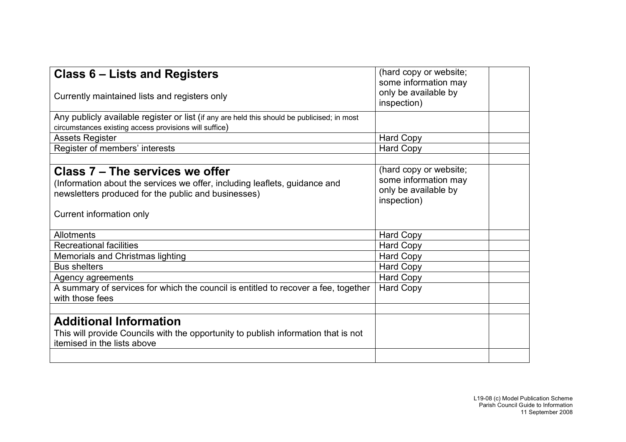| Class 6 – Lists and Registers                                                                                                                                                                    | (hard copy or website;<br>some information may                                        |
|--------------------------------------------------------------------------------------------------------------------------------------------------------------------------------------------------|---------------------------------------------------------------------------------------|
| Currently maintained lists and registers only                                                                                                                                                    | only be available by<br>inspection)                                                   |
| Any publicly available register or list (if any are held this should be publicised; in most<br>circumstances existing access provisions will suffice)                                            |                                                                                       |
|                                                                                                                                                                                                  |                                                                                       |
| <b>Assets Register</b>                                                                                                                                                                           | <b>Hard Copy</b>                                                                      |
| Register of members' interests                                                                                                                                                                   | Hard Copy                                                                             |
| Class 7 – The services we offer<br>(Information about the services we offer, including leaflets, guidance and<br>newsletters produced for the public and businesses)<br>Current information only | (hard copy or website;<br>some information may<br>only be available by<br>inspection) |
| Allotments                                                                                                                                                                                       | <b>Hard Copy</b>                                                                      |
| <b>Recreational facilities</b>                                                                                                                                                                   | <b>Hard Copy</b>                                                                      |
| <b>Memorials and Christmas lighting</b>                                                                                                                                                          | <b>Hard Copy</b>                                                                      |
| <b>Bus shelters</b>                                                                                                                                                                              | Hard Copy                                                                             |
| Agency agreements                                                                                                                                                                                | <b>Hard Copy</b>                                                                      |
| A summary of services for which the council is entitled to recover a fee, together<br>with those fees                                                                                            | <b>Hard Copy</b>                                                                      |
|                                                                                                                                                                                                  |                                                                                       |
| <b>Additional Information</b>                                                                                                                                                                    |                                                                                       |
| This will provide Councils with the opportunity to publish information that is not                                                                                                               |                                                                                       |
| itemised in the lists above                                                                                                                                                                      |                                                                                       |
|                                                                                                                                                                                                  |                                                                                       |